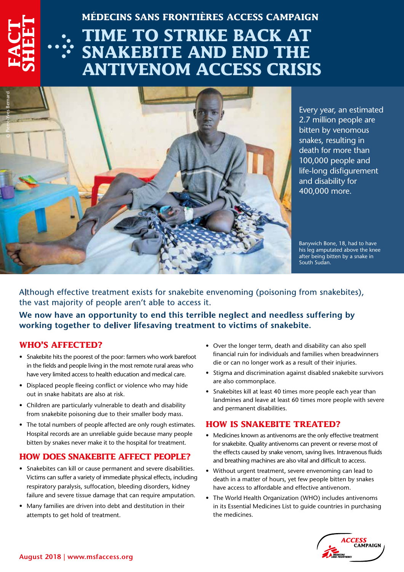# **MÉDECINS SANS FRONTIÈRES ACCESS CAMPAIGN**

# **TIME TO STRIKE BACK AT SNAKEBITE AND END THE ANTIVENOM ACCESS CRISIS**



Every year, an estimated 2.7 million people are bitten by venomous snakes, resulting in death for more than 100,000 people and life-long disfigurement and disability for 400,000 more.

Banywich Bone, 18, had to have his leg amputated above the knee after being bitten by a snake in South Sudan.

Although effective treatment exists for snakebite envenoming (poisoning from snakebites), the vast majority of people aren't able to access it.

**We now have an opportunity to end this terrible neglect and needless suffering by working together to deliver lifesaving treatment to victims of snakebite.** 

#### **WHO'S AFFECTED?**

**FACT** 

**SHEET**

- Snakebite hits the poorest of the poor: farmers who work barefoot in the fields and people living in the most remote rural areas who have very limited access to health education and medical care.
- Displaced people fleeing conflict or violence who may hide out in snake habitats are also at risk.
- Children are particularly vulnerable to death and disability from snakebite poisoning due to their smaller body mass.
- The total numbers of people affected are only rough estimates. Hospital records are an unreliable guide because many people bitten by snakes never make it to the hospital for treatment.

# **HOW DOES SNAKEBITE AFFECT PEOPLE?**

- Snakebites can kill or cause permanent and severe disabilities. Victims can suffer a variety of immediate physical effects, including respiratory paralysis, suffocation, bleeding disorders, kidney failure and severe tissue damage that can require amputation.
- Many families are driven into debt and destitution in their attempts to get hold of treatment.
- Over the longer term, death and disability can also spell financial ruin for individuals and families when breadwinners die or can no longer work as a result of their injuries.
- Stigma and discrimination against disabled snakebite survivors are also commonplace.
- Snakebites kill at least 40 times more people each year than landmines and leave at least 60 times more people with severe and permanent disabilities.

# **HOW IS SNAKEBITE TREATED?**

- Medicines known as antivenoms are the only effective treatment for snakebite. Quality antivenoms can prevent or reverse most of the effects caused by snake venom, saving lives. Intravenous fluids and breathing machines are also vital and difficult to access.
- Without urgent treatment, severe envenoming can lead to death in a matter of hours, yet few people bitten by snakes have access to affordable and effective antivenom.
- The World Health Organization (WHO) includes antivenoms in its Essential Medicines List to guide countries in purchasing the medicines.